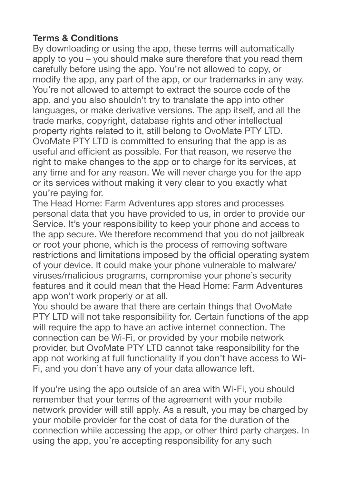## **Terms & Conditions**

By downloading or using the app, these terms will automatically apply to you – you should make sure therefore that you read them carefully before using the app. You're not allowed to copy, or modify the app, any part of the app, or our trademarks in any way. You're not allowed to attempt to extract the source code of the app, and you also shouldn't try to translate the app into other languages, or make derivative versions. The app itself, and all the trade marks, copyright, database rights and other intellectual property rights related to it, still belong to OvoMate PTY LTD. OvoMate PTY LTD is committed to ensuring that the app is as useful and efficient as possible. For that reason, we reserve the right to make changes to the app or to charge for its services, at any time and for any reason. We will never charge you for the app or its services without making it very clear to you exactly what you're paying for.

The Head Home: Farm Adventures app stores and processes personal data that you have provided to us, in order to provide our Service. It's your responsibility to keep your phone and access to the app secure. We therefore recommend that you do not jailbreak or root your phone, which is the process of removing software restrictions and limitations imposed by the official operating system of your device. It could make your phone vulnerable to malware/ viruses/malicious programs, compromise your phone's security features and it could mean that the Head Home: Farm Adventures app won't work properly or at all.

You should be aware that there are certain things that OvoMate PTY LTD will not take responsibility for. Certain functions of the app will require the app to have an active internet connection. The connection can be Wi-Fi, or provided by your mobile network provider, but OvoMate PTY LTD cannot take responsibility for the app not working at full functionality if you don't have access to Wi-Fi, and you don't have any of your data allowance left.

If you're using the app outside of an area with Wi-Fi, you should remember that your terms of the agreement with your mobile network provider will still apply. As a result, you may be charged by your mobile provider for the cost of data for the duration of the connection while accessing the app, or other third party charges. In using the app, you're accepting responsibility for any such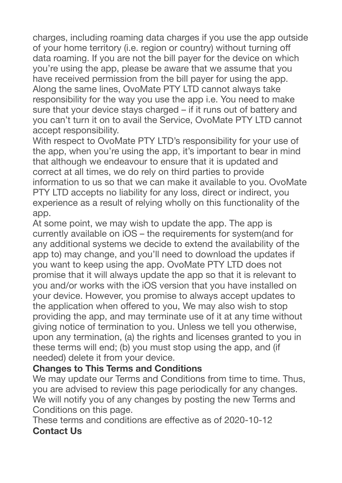charges, including roaming data charges if you use the app outside of your home territory (i.e. region or country) without turning off data roaming. If you are not the bill payer for the device on which you're using the app, please be aware that we assume that you have received permission from the bill payer for using the app. Along the same lines, OvoMate PTY LTD cannot always take responsibility for the way you use the app i.e. You need to make sure that your device stays charged – if it runs out of battery and you can't turn it on to avail the Service, OvoMate PTY LTD cannot accept responsibility.

With respect to OvoMate PTY LTD's responsibility for your use of the app, when you're using the app, it's important to bear in mind that although we endeavour to ensure that it is updated and correct at all times, we do rely on third parties to provide information to us so that we can make it available to you. OvoMate PTY LTD accepts no liability for any loss, direct or indirect, you experience as a result of relying wholly on this functionality of the app.

At some point, we may wish to update the app. The app is currently available on iOS – the requirements for system(and for any additional systems we decide to extend the availability of the app to) may change, and you'll need to download the updates if you want to keep using the app. OvoMate PTY LTD does not promise that it will always update the app so that it is relevant to you and/or works with the iOS version that you have installed on your device. However, you promise to always accept updates to the application when offered to you, We may also wish to stop providing the app, and may terminate use of it at any time without giving notice of termination to you. Unless we tell you otherwise, upon any termination, (a) the rights and licenses granted to you in these terms will end; (b) you must stop using the app, and (if needed) delete it from your device.

## **Changes to This Terms and Conditions**

We may update our Terms and Conditions from time to time. Thus, you are advised to review this page periodically for any changes. We will notify you of any changes by posting the new Terms and Conditions on this page.

These terms and conditions are effective as of 2020-10-12 **Contact Us**